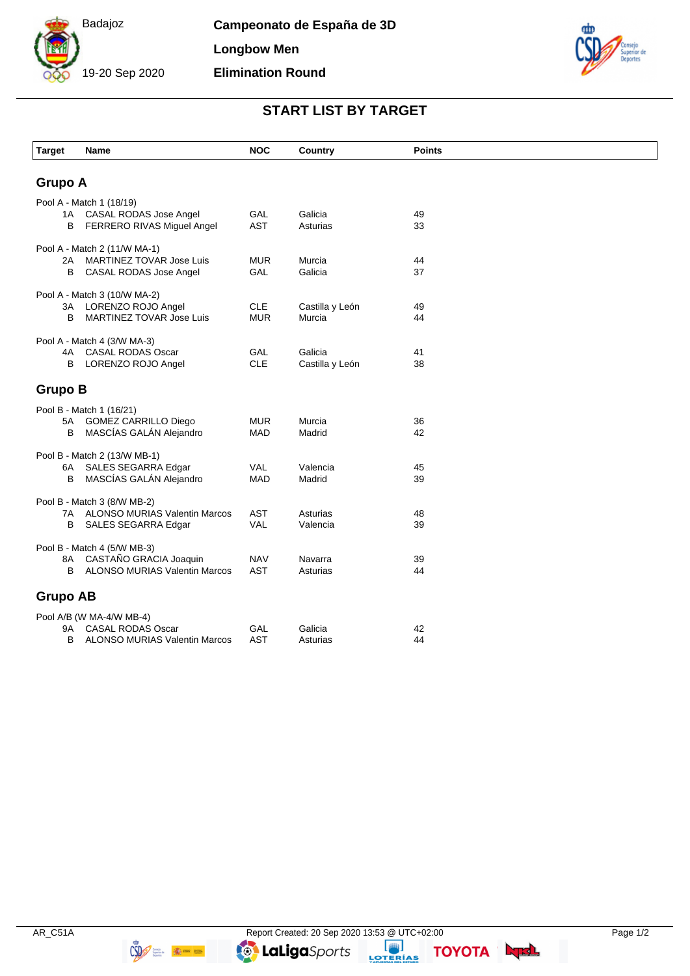

**Campeonato de España de 3D Longbow Men Elimination Round**



## **START LIST BY TARGET**

| <b>Target</b>                | Name                                                           | <b>NOC</b>               | Country             | <b>Points</b> |  |  |  |
|------------------------------|----------------------------------------------------------------|--------------------------|---------------------|---------------|--|--|--|
|                              |                                                                |                          |                     |               |  |  |  |
| <b>Grupo A</b>               |                                                                |                          |                     |               |  |  |  |
| Pool A - Match 1 (18/19)     |                                                                |                          |                     |               |  |  |  |
| 1A                           | CASAL RODAS Jose Angel                                         | GAL                      | Galicia             | 49            |  |  |  |
| в                            | FERRERO RIVAS Miguel Angel                                     | <b>AST</b>               | Asturias            | 33            |  |  |  |
| Pool A - Match 2 (11/W MA-1) |                                                                |                          |                     |               |  |  |  |
| 2A                           | MARTINEZ TOVAR Jose Luis                                       | <b>MUR</b>               | Murcia              | 44            |  |  |  |
| B                            | CASAL RODAS Jose Angel                                         | <b>GAL</b>               | Galicia             | 37            |  |  |  |
| Pool A - Match 3 (10/W MA-2) |                                                                |                          |                     |               |  |  |  |
| ЗA                           | LORENZO ROJO Angel                                             | <b>CLE</b>               | Castilla y León     | 49            |  |  |  |
| B                            | <b>MARTINEZ TOVAR Jose Luis</b>                                | <b>MUR</b>               | Murcia              | 44            |  |  |  |
| Pool A - Match 4 (3/W MA-3)  |                                                                |                          |                     |               |  |  |  |
| 4A                           | <b>CASAL RODAS Oscar</b>                                       | GAL                      | Galicia             | 41            |  |  |  |
| B                            | LORENZO ROJO Angel                                             | <b>CLE</b>               | Castilla y León     | 38            |  |  |  |
|                              |                                                                |                          |                     |               |  |  |  |
| <b>Grupo B</b>               |                                                                |                          |                     |               |  |  |  |
|                              | Pool B - Match 1 (16/21)                                       |                          |                     |               |  |  |  |
| 5A                           | <b>GOMEZ CARRILLO Diego</b>                                    | <b>MUR</b>               | Murcia              | 36            |  |  |  |
| B                            | MASCÍAS GALÁN Alejandro                                        | <b>MAD</b>               | Madrid              | 42            |  |  |  |
| Pool B - Match 2 (13/W MB-1) |                                                                |                          |                     |               |  |  |  |
| 6A                           | SALES SEGARRA Edgar                                            | <b>VAL</b>               | Valencia            | 45            |  |  |  |
| B                            | MASCÍAS GALÁN Alejandro                                        | <b>MAD</b>               | Madrid              | 39            |  |  |  |
| Pool B - Match 3 (8/W MB-2)  |                                                                |                          |                     |               |  |  |  |
| 7A                           | <b>ALONSO MURIAS Valentin Marcos</b>                           | <b>AST</b>               | Asturias            | 48            |  |  |  |
| В                            | SALES SEGARRA Edgar                                            | <b>VAL</b>               | Valencia            | 39            |  |  |  |
|                              |                                                                |                          |                     |               |  |  |  |
| Pool B - Match 4 (5/W MB-3)  |                                                                |                          |                     |               |  |  |  |
| 8A<br>B                      | CASTAÑO GRACIA Joaquin<br><b>ALONSO MURIAS Valentin Marcos</b> | <b>NAV</b><br><b>AST</b> | Navarra<br>Asturias | 39<br>44      |  |  |  |
|                              |                                                                |                          |                     |               |  |  |  |
| <b>Grupo AB</b>              |                                                                |                          |                     |               |  |  |  |
| Pool A/B (W MA-4/W MB-4)     |                                                                |                          |                     |               |  |  |  |
| 9Α                           | <b>CASAL RODAS Oscar</b>                                       | GAL                      | Galicia             | 42            |  |  |  |
| B                            | <b>ALONSO MURIAS Valentin Marcos</b>                           | <b>AST</b>               | Asturias            | 44            |  |  |  |
|                              |                                                                |                          |                     |               |  |  |  |

**TOYOTA Lunch**